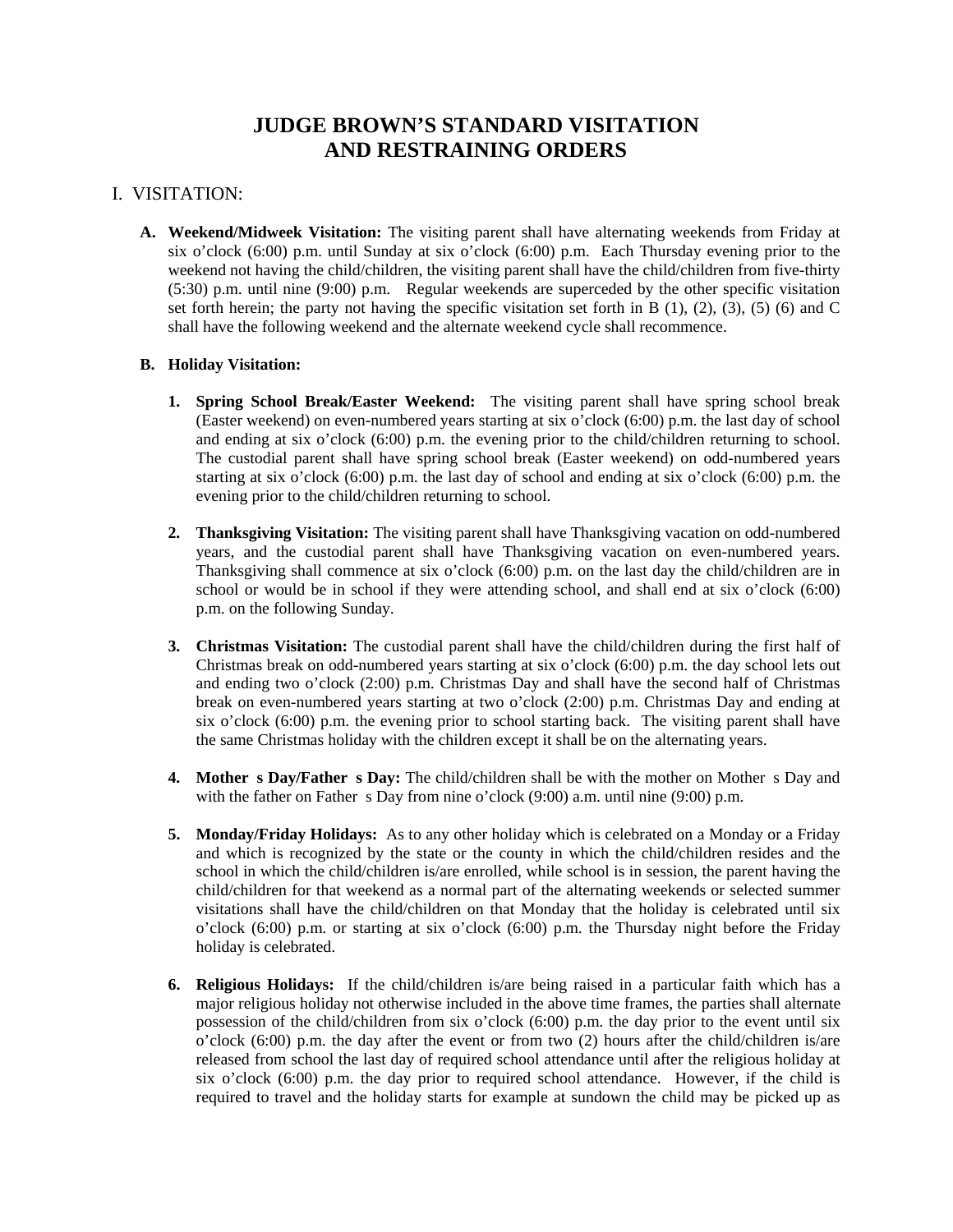# **JUDGE BROWN'S STANDARD VISITATION AND RESTRAINING ORDERS**

## I. VISITATION:

**A. Weekend/Midweek Visitation:** The visiting parent shall have alternating weekends from Friday at six o'clock (6:00) p.m. until Sunday at six o'clock (6:00) p.m. Each Thursday evening prior to the weekend not having the child/children, the visiting parent shall have the child/children from five-thirty (5:30) p.m. until nine (9:00) p.m. Regular weekends are superceded by the other specific visitation set forth herein; the party not having the specific visitation set forth in B  $(1)$ ,  $(2)$ ,  $(3)$ ,  $(5)$   $(6)$  and C shall have the following weekend and the alternate weekend cycle shall recommence.

#### **B. Holiday Visitation:**

- **1. Spring School Break/Easter Weekend:** The visiting parent shall have spring school break (Easter weekend) on even-numbered years starting at six o'clock (6:00) p.m. the last day of school and ending at six o'clock (6:00) p.m. the evening prior to the child/children returning to school. The custodial parent shall have spring school break (Easter weekend) on odd-numbered years starting at six o'clock (6:00) p.m. the last day of school and ending at six o'clock (6:00) p.m. the evening prior to the child/children returning to school.
- **2. Thanksgiving Visitation:** The visiting parent shall have Thanksgiving vacation on odd-numbered years, and the custodial parent shall have Thanksgiving vacation on even-numbered years. Thanksgiving shall commence at six o'clock (6:00) p.m. on the last day the child/children are in school or would be in school if they were attending school, and shall end at six o'clock (6:00) p.m. on the following Sunday.
- **3. Christmas Visitation:** The custodial parent shall have the child/children during the first half of Christmas break on odd-numbered years starting at six o'clock (6:00) p.m. the day school lets out and ending two o'clock (2:00) p.m. Christmas Day and shall have the second half of Christmas break on even-numbered years starting at two o'clock (2:00) p.m. Christmas Day and ending at six o'clock (6:00) p.m. the evening prior to school starting back. The visiting parent shall have the same Christmas holiday with the children except it shall be on the alternating years.
- **4. Mother s Day/Father s Day:** The child/children shall be with the mother on Mother s Day and with the father on Father s Day from nine o'clock  $(9:00)$  a.m. until nine  $(9:00)$  p.m.
- **5. Monday/Friday Holidays:** As to any other holiday which is celebrated on a Monday or a Friday and which is recognized by the state or the county in which the child/children resides and the school in which the child/children is/are enrolled, while school is in session, the parent having the child/children for that weekend as a normal part of the alternating weekends or selected summer visitations shall have the child/children on that Monday that the holiday is celebrated until six o'clock (6:00) p.m. or starting at six o'clock (6:00) p.m. the Thursday night before the Friday holiday is celebrated.
- **6. Religious Holidays:** If the child/children is/are being raised in a particular faith which has a major religious holiday not otherwise included in the above time frames, the parties shall alternate possession of the child/children from six o'clock (6:00) p.m. the day prior to the event until six o'clock (6:00) p.m. the day after the event or from two (2) hours after the child/children is/are released from school the last day of required school attendance until after the religious holiday at six o'clock (6:00) p.m. the day prior to required school attendance. However, if the child is required to travel and the holiday starts for example at sundown the child may be picked up as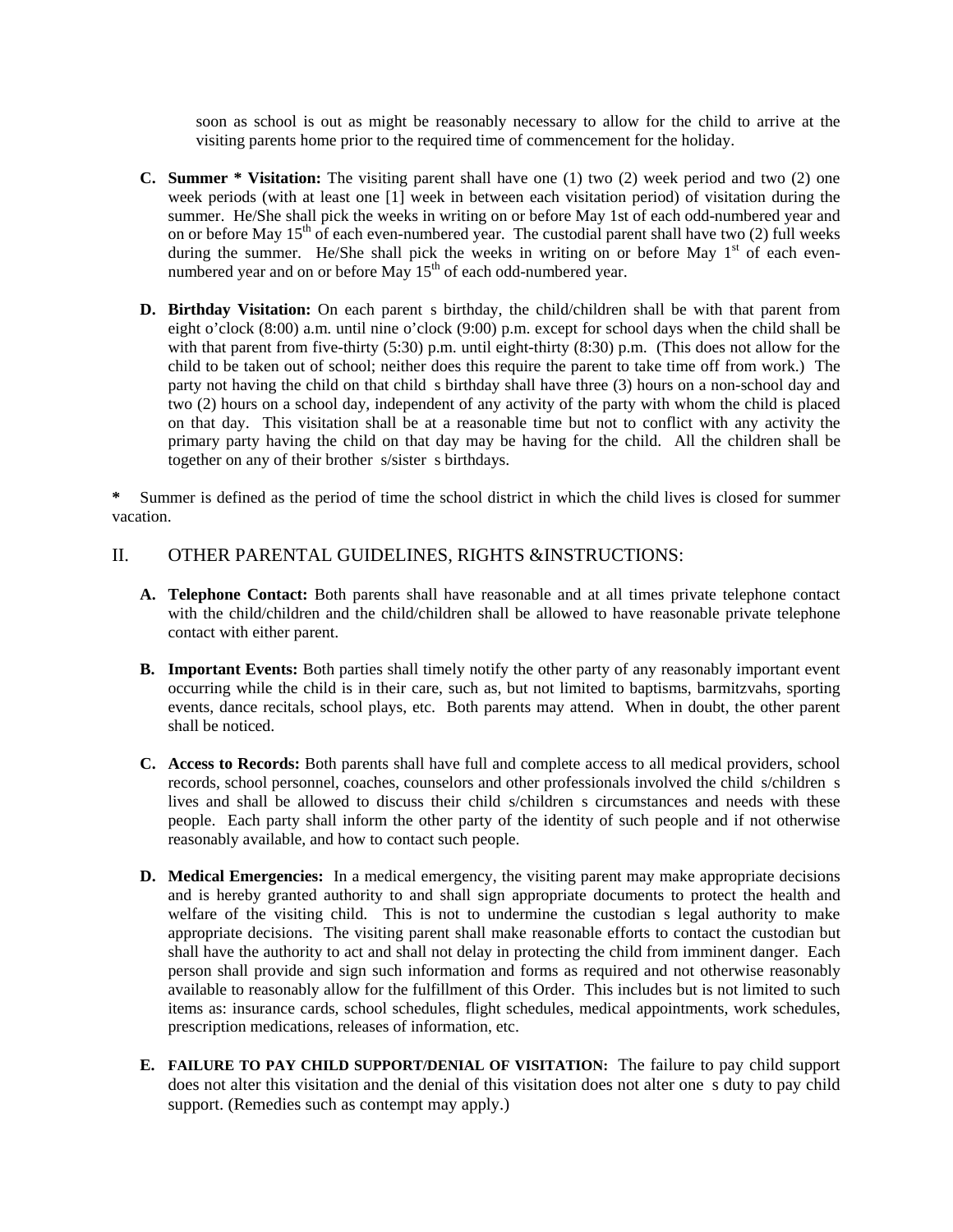soon as school is out as might be reasonably necessary to allow for the child to arrive at the visiting parents home prior to the required time of commencement for the holiday.

- **C. Summer \* Visitation:** The visiting parent shall have one (1) two (2) week period and two (2) one week periods (with at least one [1] week in between each visitation period) of visitation during the summer. He/She shall pick the weeks in writing on or before May 1st of each odd-numbered year and on or before May  $15<sup>th</sup>$  of each even-numbered year. The custodial parent shall have two (2) full weeks during the summer. He/She shall pick the weeks in writing on or before May  $1<sup>st</sup>$  of each evennumbered year and on or before May  $15<sup>th</sup>$  of each odd-numbered year.
- **D. Birthday Visitation:** On each parent s birthday, the child/children shall be with that parent from eight o'clock (8:00) a.m. until nine o'clock (9:00) p.m. except for school days when the child shall be with that parent from five-thirty (5:30) p.m. until eight-thirty (8:30) p.m. (This does not allow for the child to be taken out of school; neither does this require the parent to take time off from work.) The party not having the child on that child s birthday shall have three (3) hours on a non-school day and two (2) hours on a school day, independent of any activity of the party with whom the child is placed on that day. This visitation shall be at a reasonable time but not to conflict with any activity the primary party having the child on that day may be having for the child. All the children shall be together on any of their brother s/sister s birthdays.

Summer is defined as the period of time the school district in which the child lives is closed for summer vacation.

### II. OTHER PARENTAL GUIDELINES, RIGHTS &INSTRUCTIONS:

- **A. Telephone Contact:** Both parents shall have reasonable and at all times private telephone contact with the child/children and the child/children shall be allowed to have reasonable private telephone contact with either parent.
- **B. Important Events:** Both parties shall timely notify the other party of any reasonably important event occurring while the child is in their care, such as, but not limited to baptisms, barmitzvahs, sporting events, dance recitals, school plays, etc. Both parents may attend. When in doubt, the other parent shall be noticed.
- **C. Access to Records:** Both parents shall have full and complete access to all medical providers, school records, school personnel, coaches, counselors and other professionals involved the child s/children s lives and shall be allowed to discuss their child s/children s circumstances and needs with these people. Each party shall inform the other party of the identity of such people and if not otherwise reasonably available, and how to contact such people.
- **D. Medical Emergencies:** In a medical emergency, the visiting parent may make appropriate decisions and is hereby granted authority to and shall sign appropriate documents to protect the health and welfare of the visiting child. This is not to undermine the custodian s legal authority to make appropriate decisions. The visiting parent shall make reasonable efforts to contact the custodian but shall have the authority to act and shall not delay in protecting the child from imminent danger. Each person shall provide and sign such information and forms as required and not otherwise reasonably available to reasonably allow for the fulfillment of this Order. This includes but is not limited to such items as: insurance cards, school schedules, flight schedules, medical appointments, work schedules, prescription medications, releases of information, etc.
- **E. FAILURE TO PAY CHILD SUPPORT/DENIAL OF VISITATION:** The failure to pay child support does not alter this visitation and the denial of this visitation does not alter ones duty to pay child support. (Remedies such as contempt may apply.)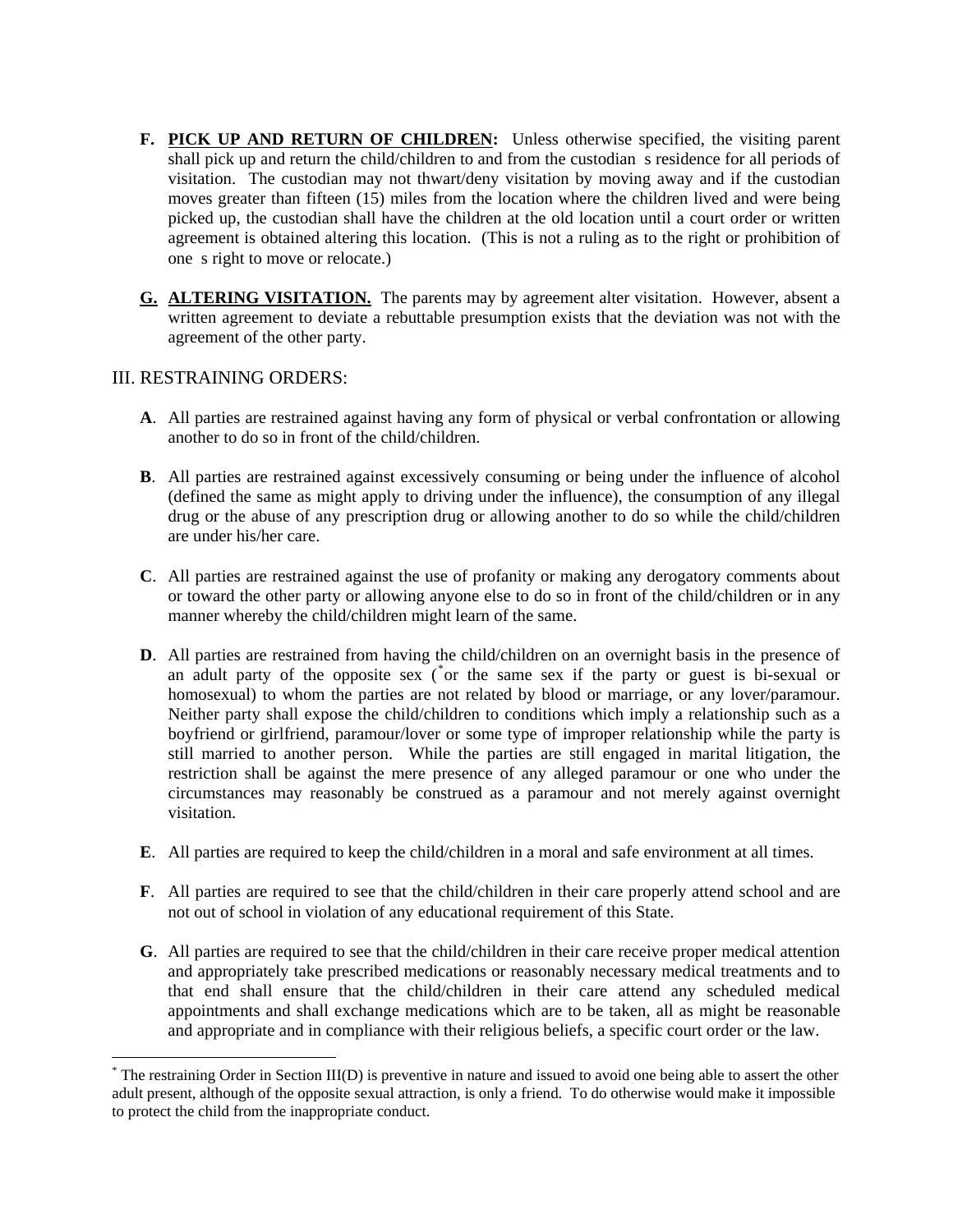- F. PICK UP AND RETURN OF CHILDREN: Unless otherwise specified, the visiting parent shall pick up and return the child/children to and from the custodian s residence for all periods of visitation. The custodian may not thwart/deny visitation by moving away and if the custodian moves greater than fifteen (15) miles from the location where the children lived and were being picked up, the custodian shall have the children at the old location until a court order or written agreement is obtained altering this location. (This is not a ruling as to the right or prohibition of ones right to move or relocate.)
- **G. ALTERING VISITATION.** The parents may by agreement alter visitation. However, absent a written agreement to deviate a rebuttable presumption exists that the deviation was not with the agreement of the other party.

### III. RESTRAINING ORDERS:

 $\overline{a}$ 

- **A**. All parties are restrained against having any form of physical or verbal confrontation or allowing another to do so in front of the child/children.
- **B**. All parties are restrained against excessively consuming or being under the influence of alcohol (defined the same as might apply to driving under the influence), the consumption of any illegal drug or the abuse of any prescription drug or allowing another to do so while the child/children are under his/her care.
- **C**. All parties are restrained against the use of profanity or making any derogatory comments about or toward the other party or allowing anyone else to do so in front of the child/children or in any manner whereby the child/children might learn of the same.
- **D**. All parties are restrained from having the child/children on an overnight basis in the presence of an adult party of the opposite sex ([\\*](#page-2-0) or the same sex if the party or guest is bi-sexual or homosexual) to whom the parties are not related by blood or marriage, or any lover/paramour. Neither party shall expose the child/children to conditions which imply a relationship such as a boyfriend or girlfriend, paramour/lover or some type of improper relationship while the party is still married to another person. While the parties are still engaged in marital litigation, the restriction shall be against the mere presence of any alleged paramour or one who under the circumstances may reasonably be construed as a paramour and not merely against overnight visitation.
- **E**. All parties are required to keep the child/children in a moral and safe environment at all times.
- **F**. All parties are required to see that the child/children in their care properly attend school and are not out of school in violation of any educational requirement of this State.
- **G**. All parties are required to see that the child/children in their care receive proper medical attention and appropriately take prescribed medications or reasonably necessary medical treatments and to that end shall ensure that the child/children in their care attend any scheduled medical appointments and shall exchange medications which are to be taken, all as might be reasonable and appropriate and in compliance with their religious beliefs, a specific court order or the law.

<span id="page-2-0"></span><sup>\*</sup> The restraining Order in Section III(D) is preventive in nature and issued to avoid one being able to assert the other adult present, although of the opposite sexual attraction, is only a friend. To do otherwise would make it impossible to protect the child from the inappropriate conduct.